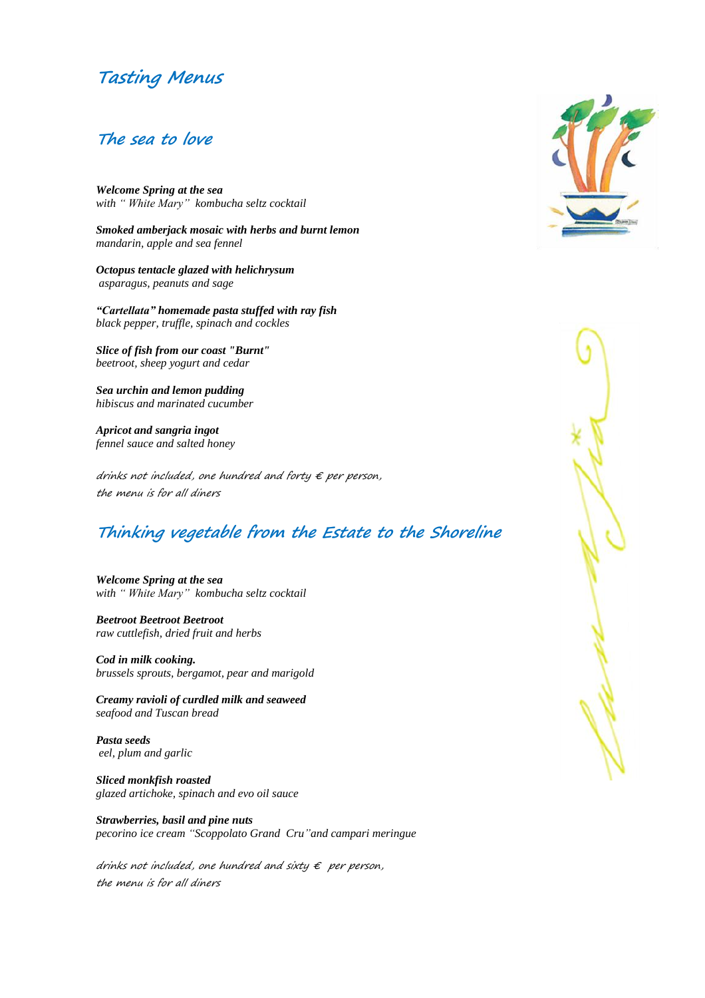# **Tasting Menus**

#### **The sea to love**

*Welcome Spring at the sea with " White Mary" kombucha seltz cocktail*

*Smoked amberjack mosaic with herbs and burnt lemon mandarin, apple and sea fennel*

*Octopus tentacle glazed with helichrysum asparagus, peanuts and sage*

*"Cartellata" homemade pasta stuffed with ray fish black pepper, truffle, spinach and cockles*

*Slice of fish from our coast "Burnt" beetroot, sheep yogurt and cedar*

*Sea urchin and lemon pudding hibiscus and marinated cucumber*

*Apricot and sangria ingot fennel sauce and salted honey*

drinks not included, one hundred and forty  $\epsilon$  per person, the menu is for all diners

## **Thinking vegetable from the Estate to the Shoreline**

*Welcome Spring at the sea with " White Mary" kombucha seltz cocktail*

*Beetroot Beetroot Beetroot raw cuttlefish, dried fruit and herbs*

*Cod in milk cooking. brussels sprouts, bergamot, pear and marigold*

*Creamy ravioli of curdled milk and seaweed seafood and Tuscan bread*

*Pasta seeds eel, plum and garlic*

*Sliced monkfish roasted glazed artichoke, spinach and evo oil sauce*

*Strawberries, basil and pine nuts pecorino ice cream "Scoppolato Grand Cru"and campari meringue*

drinks not included, one hundred and sixty  $\epsilon$  per person, the menu is for all diners